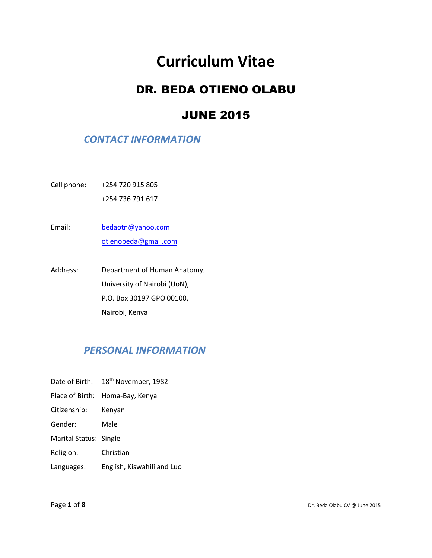# **Curriculum Vitae**

# DR. BEDA OTIENO OLABU

## JUNE 2015

#### *CONTACT INFORMATION*

Cell phone: +254 720 915 805

+254 736 791 617

Email: [bedaotn@yahoo.com](mailto:bedaotn@yahoo.com) [otienobeda@gmail.com](mailto:otienobeda@gmail.com)

Address: Department of Human Anatomy, University of Nairobi (UoN), P.O. Box 30197 GPO 00100, Nairobi, Kenya

### *PERSONAL INFORMATION*

- Date of Birth: 18<sup>th</sup> November, 1982
- Place of Birth: Homa-Bay, Kenya
- Citizenship: Kenyan
- Gender: Male
- Marital Status: Single
- Religion: Christian
- Languages: English, Kiswahili and Luo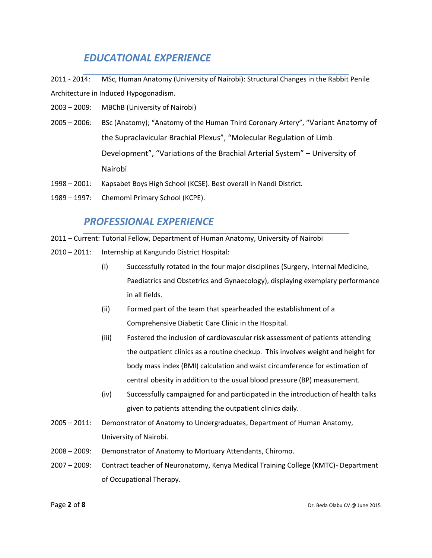### *EDUCATIONAL EXPERIENCE*

2011 - 2014: MSc, Human Anatomy (University of Nairobi): Structural Changes in the Rabbit Penile Architecture in Induced Hypogonadism.

- 2003 2009: MBChB (University of Nairobi)
- 2005 2006: BSc (Anatomy); "Anatomy of the Human Third Coronary Artery", "Variant Anatomy of the Supraclavicular Brachial Plexus", "Molecular Regulation of Limb Development", "Variations of the Brachial Arterial System" – University of Nairobi
- 1998 2001: Kapsabet Boys High School (KCSE). Best overall in Nandi District.
- 1989 1997: Chemomi Primary School (KCPE).

#### *PROFESSIONAL EXPERIENCE*

2011 – Current: Tutorial Fellow, Department of Human Anatomy, University of Nairobi

- 2010 2011: Internship at Kangundo District Hospital:
	- (i) Successfully rotated in the four major disciplines (Surgery, Internal Medicine, Paediatrics and Obstetrics and Gynaecology), displaying exemplary performance in all fields.
	- (ii) Formed part of the team that spearheaded the establishment of a Comprehensive Diabetic Care Clinic in the Hospital.
	- (iii) Fostered the inclusion of cardiovascular risk assessment of patients attending the outpatient clinics as a routine checkup. This involves weight and height for body mass index (BMI) calculation and waist circumference for estimation of central obesity in addition to the usual blood pressure (BP) measurement.
	- (iv) Successfully campaigned for and participated in the introduction of health talks given to patients attending the outpatient clinics daily.
- 2005 2011: Demonstrator of Anatomy to Undergraduates, Department of Human Anatomy, University of Nairobi.
- 2008 2009: Demonstrator of Anatomy to Mortuary Attendants, Chiromo.
- 2007 2009: Contract teacher of Neuronatomy, Kenya Medical Training College (KMTC)- Department of Occupational Therapy.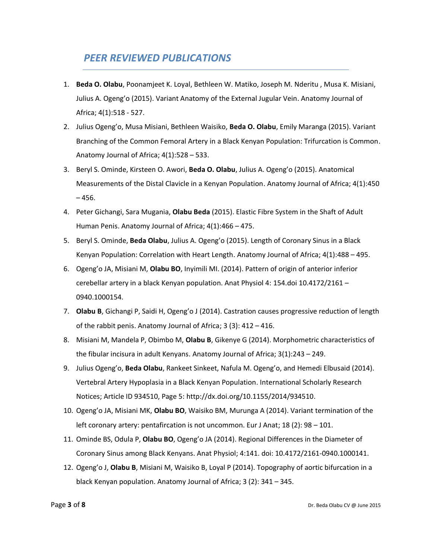#### *PEER REVIEWED PUBLICATIONS*

- 1. **Beda O. Olabu**, Poonamjeet K. Loyal, Bethleen W. Matiko, Joseph M. Nderitu , Musa K. Misiani, Julius A. Ogeng'o (2015). Variant Anatomy of the External Jugular Vein. Anatomy Journal of Africa; 4(1):518 - 527.
- 2. Julius Ogeng'o, Musa Misiani, Bethleen Waisiko, **Beda O. Olabu**, Emily Maranga (2015). Variant Branching of the Common Femoral Artery in a Black Kenyan Population: Trifurcation is Common. Anatomy Journal of Africa; 4(1):528 – 533.
- 3. Beryl S. Ominde, Kirsteen O. Awori, **Beda O. Olabu**, Julius A. Ogeng'o (2015). Anatomical Measurements of the Distal Clavicle in a Kenyan Population. Anatomy Journal of Africa; 4(1):450  $-456.$
- 4. Peter Gichangi, Sara Mugania, **Olabu Beda** (2015). Elastic Fibre System in the Shaft of Adult Human Penis. Anatomy Journal of Africa; 4(1):466 – 475.
- 5. Beryl S. Ominde, **Beda Olabu**, Julius A. Ogeng'o (2015). Length of Coronary Sinus in a Black Kenyan Population: Correlation with Heart Length. Anatomy Journal of Africa; 4(1):488 – 495.
- 6. Ogeng'o JA, Misiani M, **Olabu BO**, Inyimili MI. (2014). Pattern of origin of anterior inferior cerebellar artery in a black Kenyan population. Anat Physiol 4: 154.doi 10.4172/2161 – 0940.1000154.
- 7. **Olabu B**, Gichangi P, Saidi H, Ogeng'o J (2014). Castration causes progressive reduction of length of the rabbit penis. Anatomy Journal of Africa; 3 (3): 412 – 416.
- 8. Misiani M, Mandela P, Obimbo M, **Olabu B**, Gikenye G (2014). Morphometric characteristics of the fibular incisura in adult Kenyans. Anatomy Journal of Africa; 3(1):243 – 249.
- 9. Julius Ogeng'o, **Beda Olabu**, Rankeet Sinkeet, Nafula M. Ogeng'o, and Hemedi Elbusaid (2014). Vertebral Artery Hypoplasia in a Black Kenyan Population. International Scholarly Research Notices; Article ID 934510, Page 5: http://dx.doi.org/10.1155/2014/934510.
- 10. Ogeng'o JA, Misiani MK, **Olabu BO**, Waisiko BM, Murunga A (2014). Variant termination of the left coronary artery: pentafircation is not uncommon. Eur J Anat; 18 (2): 98 – 101.
- 11. Ominde BS, Odula P, **Olabu BO**, Ogeng'o JA (2014). Regional Differences in the Diameter of Coronary Sinus among Black Kenyans. Anat Physiol; 4:141. doi: 10.4172/2161-0940.1000141.
- 12. Ogeng'o J, **Olabu B**, Misiani M, Waisiko B, Loyal P (2014). Topography of aortic bifurcation in a black Kenyan population. Anatomy Journal of Africa; 3 (2): 341 – 345.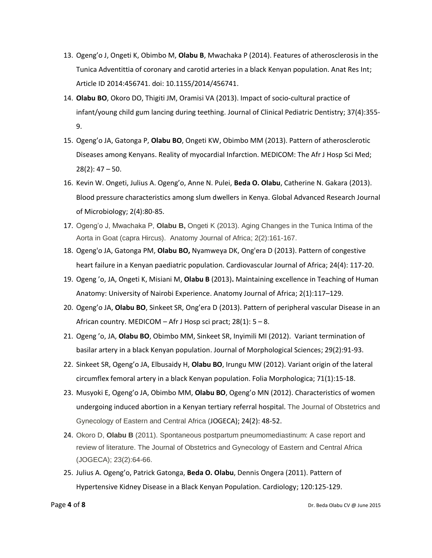- 13. Ogeng'o J, Ongeti K, Obimbo M, **Olabu B**, Mwachaka P (2014). Features of atherosclerosis in the Tunica Adventittia of coronary and carotid arteries in a black Kenyan population. Anat Res Int; Article ID 2014:456741. doi: 10.1155/2014/456741.
- 14. **Olabu BO**, Okoro DO, Thigiti JM, Oramisi VA (2013). Impact of socio-cultural practice of infant/young child gum lancing during teething. Journal of Clinical Pediatric Dentistry; 37(4):355- 9.
- 15. Ogeng'o JA, Gatonga P, **Olabu BO**, Ongeti KW, Obimbo MM (2013). Pattern of atherosclerotic Diseases among Kenyans. Reality of myocardial Infarction. MEDICOM: The Afr J Hosp Sci Med; 28(2): 47 – 50.
- 16. Kevin W. Ongeti, Julius A. Ogeng'o, Anne N. Pulei, **Beda O. Olabu**, Catherine N. Gakara (2013). Blood pressure characteristics among slum dwellers in Kenya. Global Advanced Research Journal of Microbiology; 2(4):80-85.
- 17. Ogeng'o J, Mwachaka P, **Olabu B,** Ongeti K (2013). Aging Changes in the Tunica Intima of the Aorta in Goat (capra Hircus). Anatomy Journal of Africa; 2(2):161-167.
- 18. Ogeng'o JA, Gatonga PM, **Olabu BO,** Nyamweya DK, Ong'era D (2013). Pattern of congestive heart failure in a Kenyan paediatric population. Cardiovascular Journal of Africa; 24(4): 117-20.
- 19. Ogeng 'o, JA, Ongeti K, Misiani M, **Olabu B** (2013)**.** Maintaining excellence in Teaching of Human Anatomy: University of Nairobi Experience. Anatomy Journal of Africa; 2(1):117–129.
- 20. Ogeng'o JA, **Olabu BO**, Sinkeet SR, Ong'era D (2013). Pattern of peripheral vascular Disease in an African country. MEDICOM – Afr J Hosp sci pract; 28(1): 5 – 8.
- 21. Ogeng 'o, JA, **Olabu BO**, Obimbo MM, Sinkeet SR, Inyimili MI (2012). Variant termination of basilar artery in a black Kenyan population. Journal of Morphological Sciences; 29(2):91-93.
- 22. Sinkeet SR, Ogeng'o JA, Elbusaidy H, **Olabu BO**, Irungu MW (2012). Variant origin of the lateral circumflex femoral artery in a black Kenyan population. Folia Morphologica; 71(1):15-18.
- 23. Musyoki E, Ogeng'o JA, Obimbo MM, **Olabu BO**, Ogeng'o MN (2012). Characteristics of women undergoing induced abortion in a Kenyan tertiary referral hospital. The Journal of Obstetrics and Gynecology of Eastern and Central Africa (JOGECA); 24(2): 48-52.
- 24. Okoro D, **Olabu B** (2011). Spontaneous postpartum pneumomediastinum: A case report and review of literature. The Journal of Obstetrics and Gynecology of Eastern and Central Africa (JOGECA); 23(2):64-66.
- 25. Julius A. Ogeng'o, Patrick Gatonga, **Beda O. Olabu**, Dennis Ongera (2011). Pattern of Hypertensive Kidney Disease in a Black Kenyan Population. Cardiology; 120:125-129.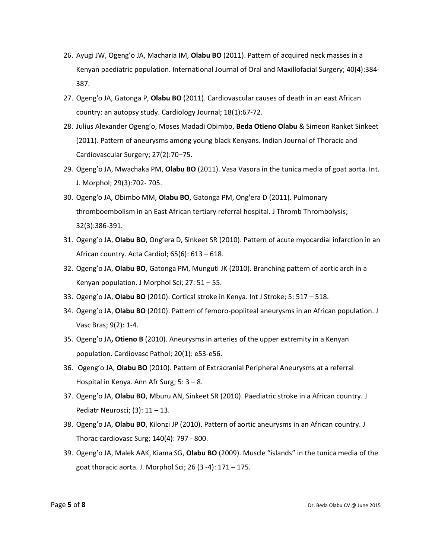- 26. Ayugi JW, Ogeng'o JA, Macharia IM, **Olabu BO** (2011). Pattern of acquired neck masses in a Kenyan paediatric population. International Journal of Oral and Maxillofacial Surgery; 40(4):384- 387.
- 27. Ogeng'o JA, Gatonga P, **Olabu BO** (2011). Cardiovascular causes of death in an east African country: an autopsy study. Cardiology Journal; 18(1):67-72.
- 28. Julius Alexander Ogeng'o, Moses Madadi Obimbo, **Beda Otieno Olabu** & Simeon Ranket Sinkeet (2011). Pattern of aneurysms among young black Kenyans. Indian Journal of Thoracic and Cardiovascular Surgery; 27(2):70–75.
- 29. Ogeng'o JA, Mwachaka PM, **Olabu BO** (2011). Vasa Vasora in the tunica media of goat aorta. Int. J. Morphol; 29(3):702- 705.
- 30. Ogeng'o JA, Obimbo MM, **Olabu BO**, Gatonga PM, Ong'era D (2011). Pulmonary thromboembolism in an East African tertiary referral hospital. J Thromb Thrombolysis; 32(3):386-391.
- 31. Ogeng'o JA, **Olabu BO**, Ong'era D, Sinkeet SR (2010). Pattern of acute myocardial infarction in an African country. Acta Cardiol; 65(6): 613 – 618.
- 32. Ogeng'o JA, **Olabu BO**, Gatonga PM, Munguti JK (2010). Branching pattern of aortic arch in a Kenyan population. J Morphol Sci; 27: 51 – 55.
- 33. Ogeng'o JA, **Olabu BO** (2010). Cortical stroke in Kenya. Int J Stroke; 5: 517 518.
- 34. Ogeng'o JA, **Olabu BO** (2010). Pattern of femoro-popliteal aneurysms in an African population. J Vasc Bras; 9(2): 1-4.
- 35. Ogeng'o JA**, Otieno B** (2010). Aneurysms in arteries of the upper extremity in a Kenyan population. Cardiovasc Pathol; 20(1): e53-e56.
- 36. Ogeng'o JA, **Olabu BO** (2010). Pattern of Extracranial Peripheral Aneurysms at a referral Hospital in Kenya. Ann Afr Surg; 5: 3 – 8.
- 37. Ogeng'o JA, **Olabu BO**, Mburu AN, Sinkeet SR (2010). Paediatric stroke in a African country. J Pediatr Neurosci; (3): 11 – 13.
- 38. Ogeng'o JA, **Olabu BO**, Kilonzi JP (2010). Pattern of aortic aneurysms in an African country. J Thorac cardiovasc Surg; 140(4): 797 - 800.
- 39. Ogeng'o JA, Malek AAK, Kiama SG, **Olabu BO** (2009). Muscle "islands" in the tunica media of the goat thoracic aorta. J. Morphol Sci; 26 (3 -4): 171 – 175.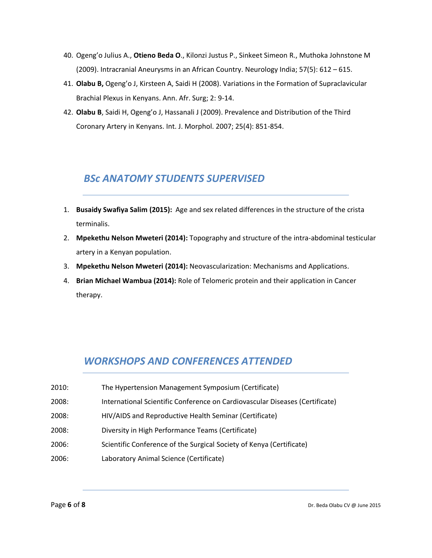- 40. Ogeng'o Julius A., **Otieno Beda O**., Kilonzi Justus P., Sinkeet Simeon R., Muthoka Johnstone M (2009). Intracranial Aneurysms in an African Country. Neurology India; 57(5): 612 – 615.
- 41. **Olabu B,** Ogeng'o J, Kirsteen A, Saidi H (2008). Variations in the Formation of Supraclavicular Brachial Plexus in Kenyans. Ann. Afr. Surg; 2: 9-14.
- 42. **Olabu B**, Saidi H, Ogeng'o J, Hassanali J (2009). Prevalence and Distribution of the Third Coronary Artery in Kenyans. Int. J. Morphol. 2007; 25(4): 851-854.

### *BSc ANATOMY STUDENTS SUPERVISED*

- 1. **Busaidy Swafiya Salim (2015):** Age and sex related differences in the structure of the crista terminalis.
- 2. **Mpekethu Nelson Mweteri (2014):** Topography and structure of the intra-abdominal testicular artery in a Kenyan population.
- 3. **Mpekethu Nelson Mweteri (2014):** Neovascularization: Mechanisms and Applications.
- 4. **Brian Michael Wambua (2014):** Role of Telomeric protein and their application in Cancer therapy.

### *WORKSHOPS AND CONFERENCES ATTENDED*

- 2010: The Hypertension Management Symposium (Certificate)
- 2008: International Scientific Conference on Cardiovascular Diseases (Certificate)
- 2008: HIV/AIDS and Reproductive Health Seminar (Certificate)
- 2008: Diversity in High Performance Teams (Certificate)
- 2006: Scientific Conference of the Surgical Society of Kenya (Certificate)
- 2006: Laboratory Animal Science (Certificate)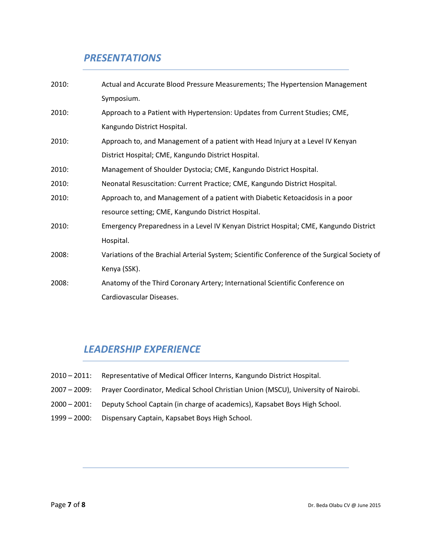### *PRESENTATIONS*

| 2010: | Actual and Accurate Blood Pressure Measurements; The Hypertension Management                 |
|-------|----------------------------------------------------------------------------------------------|
|       | Symposium.                                                                                   |
| 2010: | Approach to a Patient with Hypertension: Updates from Current Studies; CME,                  |
|       | Kangundo District Hospital.                                                                  |
| 2010: | Approach to, and Management of a patient with Head Injury at a Level IV Kenyan               |
|       | District Hospital; CME, Kangundo District Hospital.                                          |
| 2010: | Management of Shoulder Dystocia; CME, Kangundo District Hospital.                            |
| 2010: | Neonatal Resuscitation: Current Practice; CME, Kangundo District Hospital.                   |
| 2010: | Approach to, and Management of a patient with Diabetic Ketoacidosis in a poor                |
|       | resource setting; CME, Kangundo District Hospital.                                           |
| 2010: | Emergency Preparedness in a Level IV Kenyan District Hospital; CME, Kangundo District        |
|       | Hospital.                                                                                    |
| 2008: | Variations of the Brachial Arterial System; Scientific Conference of the Surgical Society of |
|       | Kenya (SSK).                                                                                 |
| 2008: | Anatomy of the Third Coronary Artery; International Scientific Conference on                 |
|       | Cardiovascular Diseases.                                                                     |
|       |                                                                                              |

### *LEADERSHIP EXPERIENCE*

- 2010 2011: Representative of Medical Officer Interns, Kangundo District Hospital.
- 2007 2009: Prayer Coordinator, Medical School Christian Union (MSCU), University of Nairobi.
- 2000 2001: Deputy School Captain (in charge of academics), Kapsabet Boys High School.
- 1999 2000: Dispensary Captain, Kapsabet Boys High School.